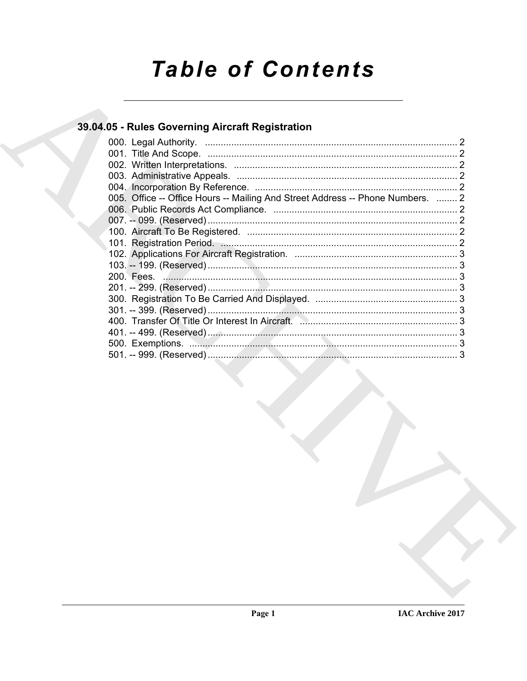# **Table of Contents**

# 39.04.05 - Rules Governing Aircraft Registration

| 005. Office -- Office Hours -- Mailing And Street Address -- Phone Numbers.  2 |  |
|--------------------------------------------------------------------------------|--|
|                                                                                |  |
|                                                                                |  |
|                                                                                |  |
|                                                                                |  |
|                                                                                |  |
|                                                                                |  |
|                                                                                |  |
|                                                                                |  |
|                                                                                |  |
|                                                                                |  |
|                                                                                |  |
|                                                                                |  |
|                                                                                |  |
|                                                                                |  |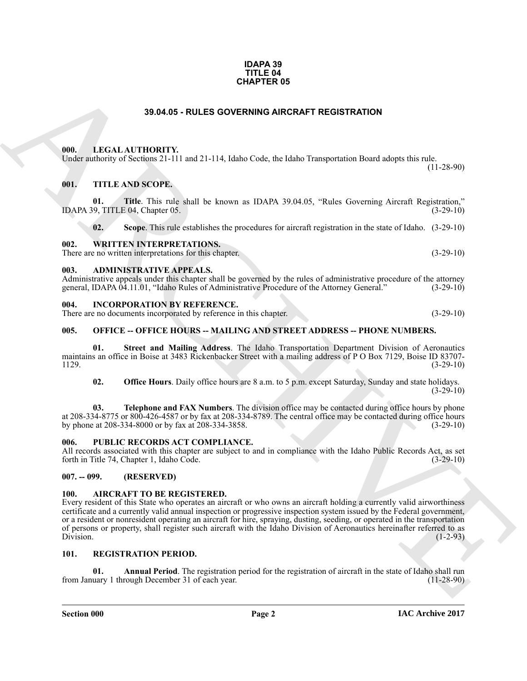#### **IDAPA 39 TITLE 04 CHAPTER 05**

# **39.04.05 - RULES GOVERNING AIRCRAFT REGISTRATION**

#### <span id="page-1-1"></span><span id="page-1-0"></span>**000. LEGAL AUTHORITY.**

# <span id="page-1-2"></span>**001. TITLE AND SCOPE.**

| <b>CHAPTER 05</b> |                                                                                                                               |                                                                                                                                                                                                                                                                                                                                                                                                                                                                                                         |              |  |
|-------------------|-------------------------------------------------------------------------------------------------------------------------------|---------------------------------------------------------------------------------------------------------------------------------------------------------------------------------------------------------------------------------------------------------------------------------------------------------------------------------------------------------------------------------------------------------------------------------------------------------------------------------------------------------|--------------|--|
|                   |                                                                                                                               | 39.04.05 - RULES GOVERNING AIRCRAFT REGISTRATION                                                                                                                                                                                                                                                                                                                                                                                                                                                        |              |  |
| 000.              | LEGAL AUTHORITY.                                                                                                              | Under authority of Sections 21-111 and 21-114, Idaho Code, the Idaho Transportation Board adopts this rule.                                                                                                                                                                                                                                                                                                                                                                                             | $(11-28-90)$ |  |
| 001.<br>01.       | TITLE AND SCOPE.<br>IDAPA 39, TITLE 04, Chapter 05.                                                                           | Title. This rule shall be known as IDAPA 39.04.05, "Rules Governing Aircraft Registration,"                                                                                                                                                                                                                                                                                                                                                                                                             | $(3-29-10)$  |  |
| 02.               |                                                                                                                               | Scope. This rule establishes the procedures for aircraft registration in the state of Idaho. (3-29-10)                                                                                                                                                                                                                                                                                                                                                                                                  |              |  |
| 002.              | <b>WRITTEN INTERPRETATIONS.</b><br>There are no written interpretations for this chapter.                                     |                                                                                                                                                                                                                                                                                                                                                                                                                                                                                                         | $(3-29-10)$  |  |
| 003.              | <b>ADMINISTRATIVE APPEALS.</b><br>general, IDAPA 04.11.01, "Idaho Rules of Administrative Procedure of the Attorney General." | Administrative appeals under this chapter shall be governed by the rules of administrative procedure of the attorney                                                                                                                                                                                                                                                                                                                                                                                    | $(3-29-10)$  |  |
| 004.              | <b>INCORPORATION BY REFERENCE.</b><br>There are no documents incorporated by reference in this chapter.                       |                                                                                                                                                                                                                                                                                                                                                                                                                                                                                                         | $(3-29-10)$  |  |
| 005.              |                                                                                                                               | <b>OFFICE -- OFFICE HOURS -- MAILING AND STREET ADDRESS -- PHONE NUMBERS.</b>                                                                                                                                                                                                                                                                                                                                                                                                                           |              |  |
| 01.<br>1129.      |                                                                                                                               | Street and Mailing Address. The Idaho Transportation Department Division of Aeronautics<br>maintains an office in Boise at 3483 Rickenbacker Street with a mailing address of P O Box 7129, Boise ID 83707-                                                                                                                                                                                                                                                                                             | $(3-29-10)$  |  |
| 02.               |                                                                                                                               | <b>Office Hours</b> . Daily office hours are 8 a.m. to 5 p.m. except Saturday, Sunday and state holidays.                                                                                                                                                                                                                                                                                                                                                                                               | $(3-29-10)$  |  |
| 03.               | by phone at 208-334-8000 or by fax at 208-334-3858.                                                                           | Telephone and FAX Numbers. The division office may be contacted during office hours by phone<br>at 208-334-8775 or 800-426-4587 or by fax at 208-334-8789. The central office may be contacted during office hours                                                                                                                                                                                                                                                                                      | $(3-29-10)$  |  |
| 006.              | PUBLIC RECORDS ACT COMPLIANCE.<br>forth in Title 74, Chapter 1, Idaho Code.                                                   | All records associated with this chapter are subject to and in compliance with the Idaho Public Records Act, as set                                                                                                                                                                                                                                                                                                                                                                                     | $(3-29-10)$  |  |
| $007. - 099.$     | (RESERVED)                                                                                                                    |                                                                                                                                                                                                                                                                                                                                                                                                                                                                                                         |              |  |
| 100.<br>Division. | <b>AIRCRAFT TO BE REGISTERED.</b>                                                                                             | Every resident of this State who operates an aircraft or who owns an aircraft holding a currently valid airworthiness<br>certificate and a currently valid annual inspection or progressive inspection system issued by the Federal government,<br>or a resident or nonresident operating an aircraft for hire, spraying, dusting, seeding, or operated in the transportation<br>of persons or property, shall register such aircraft with the Idaho Division of Aeronautics hereinafter referred to as | $(1-2-93)$   |  |
| 101.              | <b>REGISTRATION PERIOD.</b>                                                                                                   |                                                                                                                                                                                                                                                                                                                                                                                                                                                                                                         |              |  |
| 01.               | from January 1 through December 31 of each year.                                                                              | Annual Period. The registration period for the registration of aircraft in the state of Idaho shall run                                                                                                                                                                                                                                                                                                                                                                                                 | $(11-28-90)$ |  |

#### <span id="page-1-4"></span><span id="page-1-3"></span>**003. ADMINISTRATIVE APPEALS.**

#### <span id="page-1-5"></span>**004. INCORPORATION BY REFERENCE.**

#### <span id="page-1-6"></span>**005. OFFICE -- OFFICE HOURS -- MAILING AND STREET ADDRESS -- PHONE NUMBERS.**

#### <span id="page-1-7"></span>**006. PUBLIC RECORDS ACT COMPLIANCE.**

#### <span id="page-1-8"></span>**007. -- 099. (RESERVED)**

#### <span id="page-1-11"></span><span id="page-1-9"></span>**100. AIRCRAFT TO BE REGISTERED.**

#### <span id="page-1-13"></span><span id="page-1-12"></span><span id="page-1-10"></span>**101. REGISTRATION PERIOD.**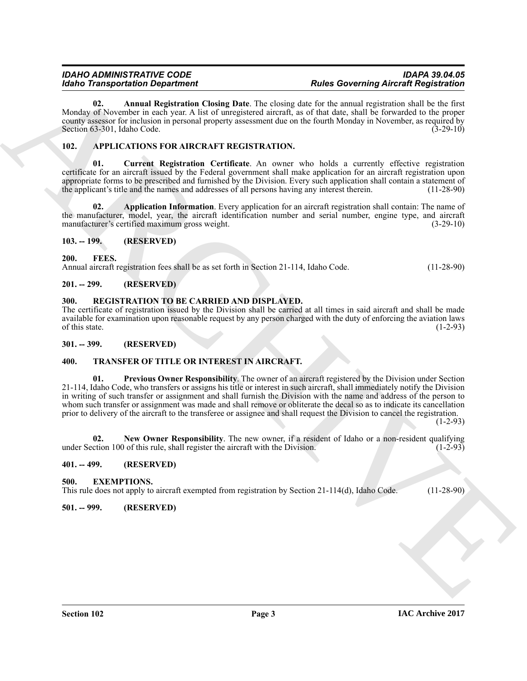<span id="page-2-15"></span>**02. Annual Registration Closing Date**. The closing date for the annual registration shall be the first Monday of November in each year. A list of unregistered aircraft, as of that date, shall be forwarded to the proper county assessor for inclusion in personal property assessment due on the fourth Monday in November, as required by Section 63-301, Idaho Code. (3-29-10)

# <span id="page-2-10"></span><span id="page-2-0"></span>**102. APPLICATIONS FOR AIRCRAFT REGISTRATION.**

<span id="page-2-12"></span>**01. Current Registration Certificate**. An owner who holds a currently effective registration certificate for an aircraft issued by the Federal government shall make application for an aircraft registration upon appropriate forms to be prescribed and furnished by the Division. Every such application shall contain a statement of the applicant's title and the names and addresses of all persons having any interest therein. (11-28-90) the applicant's title and the names and addresses of all persons having any interest therein.

<span id="page-2-11"></span>**02. Application Information**. Every application for an aircraft registration shall contain: The name of the manufacturer, model, year, the aircraft identification number and serial number, engine type, and aircraft manufacturer's certified maximum gross weight. (3-29-10)

# <span id="page-2-1"></span>**103. -- 199. (RESERVED)**

# <span id="page-2-14"></span><span id="page-2-2"></span>**200. FEES.**

Annual aircraft registration fees shall be as set forth in Section 21-114, Idaho Code. (11-28-90)

# <span id="page-2-3"></span>**201. -- 299. (RESERVED)**

# <span id="page-2-16"></span><span id="page-2-4"></span>**300. REGISTRATION TO BE CARRIED AND DISPLAYED.**

The certificate of registration issued by the Division shall be carried at all times in said aircraft and shall be made available for examination upon reasonable request by any person charged with the duty of enforcing the aviation laws of this state.  $(1-2-93)$ 

<span id="page-2-5"></span>**301. -- 399. (RESERVED)**

# <span id="page-2-19"></span><span id="page-2-17"></span><span id="page-2-6"></span>**400. TRANSFER OF TITLE OR INTEREST IN AIRCRAFT.**

**Example 2018**<br> **Example 2018 Constrainer**<br> **Example 2018 Constrainer**<br>
March Dependent Christian Union Pater. The channel are in such a comparison and the fact that the sum of the sum of the sum of the sum of the su **01. Previous Owner Responsibility**. The owner of an aircraft registered by the Division under Section 21-114, Idaho Code, who transfers or assigns his title or interest in such aircraft, shall immediately notify the Division in writing of such transfer or assignment and shall furnish the Division with the name and address of the person to whom such transfer or assignment was made and shall remove or obliterate the decal so as to indicate its cancellation prior to delivery of the aircraft to the transferee or assignee and shall request the Division to cancel the registration.

 $(1-2-93)$ 

<span id="page-2-18"></span>**02.** New Owner Responsibility. The new owner, if a resident of Idaho or a non-resident qualifying ction 100 of this rule, shall register the aircraft with the Division. (1-2-93) under Section 100 of this rule, shall register the aircraft with the Division.

# <span id="page-2-7"></span>**401. -- 499. (RESERVED)**

#### <span id="page-2-13"></span><span id="page-2-8"></span>**500. EXEMPTIONS.**

This rule does not apply to aircraft exempted from registration by Section 21-114(d), Idaho Code. (11-28-90)

# <span id="page-2-9"></span>**501. -- 999. (RESERVED)**